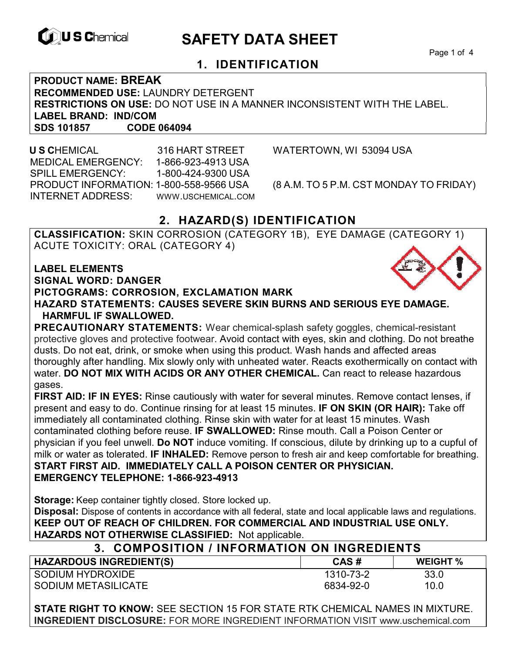

# **EXAGREM** SAFETY DATA SHEET

Page 1 of 4

#### **1. IDENTIFICATION**

**PRODUCT NAME: BREAK RECOMMENDED USE:** LAUNDRY DETERGENT **RESTRICTIONS ON USE:** DO NOT USE IN A MANNER INCONSISTENT WITH THE LABEL. **LABEL BRAND: IND/COM SDS 101857** 

 **U S C**HEMICAL 316 HART STREET WATERTOWN, WI 53094 USA MEDICAL EMERGENCY: 1-866-923-4913 USA SPILL EMERGENCY: 1-800-424-9300 USA PRODUCT INFORMATION: 1-800-558-9566 USA (8 A.M. TO 5 P.M. CST MONDAY TO FRIDAY) INTERNET ADDRESS: WWW.USCHEMICAL.COM

#### **2. HAZARD(S) IDENTIFICATION**

**CLASSIFICATION:** SKIN CORROSION (CATEGORY 1B), EYE DAMAGE (CATEGORY 1) ACUTE TOXICITY: ORAL (CATEGORY 4)

**LABEL ELEMENTS SIGNAL WORD: DANGER PICTOGRAMS: CORROSION, EXCLAMATION MARK HAZARD STATEMENTS: CAUSES SEVERE SKIN BURNS AND SERIOUS EYE DAMAGE. HARMFUL IF SWALLOWED.** 

**PRECAUTIONARY STATEMENTS:** Wear chemical-splash safety goggles, chemical-resistant protective gloves and protective footwear. Avoid contact with eyes, skin and clothing. Do not breathe dusts. Do not eat, drink, or smoke when using this product. Wash hands and affected areas thoroughly after handling. Mix slowly only with unheated water. Reacts exothermically on contact with water. **DO NOT MIX WITH ACIDS OR ANY OTHER CHEMICAL.** Can react to release hazardous gases.

**FIRST AID: IF IN EYES:** Rinse cautiously with water for several minutes. Remove contact lenses, if present and easy to do. Continue rinsing for at least 15 minutes. **IF ON SKIN (OR HAIR):** Take off immediately all contaminated clothing. Rinse skin with water for at least 15 minutes. Wash contaminated clothing before reuse. **IF SWALLOWED:** Rinse mouth. Call a Poison Center or physician if you feel unwell. **Do NOT** induce vomiting. If conscious, dilute by drinking up to a cupful of milk or water as tolerated. **IF INHALED:** Remove person to fresh air and keep comfortable for breathing. **START FIRST AID. IMMEDIATELY CALL A POISON CENTER OR PHYSICIAN. EMERGENCY TELEPHONE: 1-866-923-4913** 

**Storage:** Keep container tightly closed. Store locked up.

**Disposal:** Dispose of contents in accordance with all federal, state and local applicable laws and regulations. **KEEP OUT OF REACH OF CHILDREN. FOR COMMERCIAL AND INDUSTRIAL USE ONLY. HAZARDS NOT OTHERWISE CLASSIFIED:** Not applicable.

| 3. COMPOSITION / INFORMATION ON INGREDIENTS |           |                 |  |
|---------------------------------------------|-----------|-----------------|--|
| <b>HAZARDOUS INGREDIENT(S)</b>              | CAS#      | <b>WEIGHT %</b> |  |
| SODIUM HYDROXIDE                            | 1310-73-2 | 33.0            |  |
| SODIUM METASILICATE                         | 6834-92-0 | 10.0            |  |

**STATE RIGHT TO KNOW:** SEE SECTION 15 FOR STATE RTK CHEMICAL NAMES IN MIXTURE. **INGREDIENT DISCLOSURE:** FOR MORE INGREDIENT INFORMATION VISIT www.uschemical.com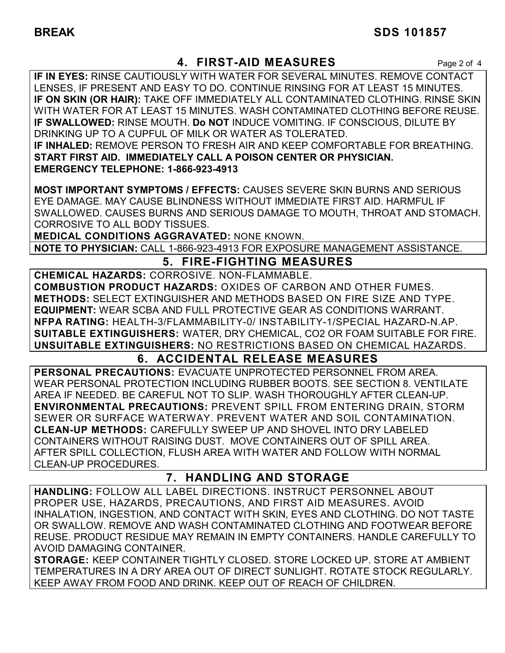## **4. FIRST-AID MEASURES** Page 2 of 4

**IF IN EYES:** RINSE CAUTIOUSLY WITH WATER FOR SEVERAL MINUTES. REMOVE CONTACT LENSES, IF PRESENT AND EASY TO DO. CONTINUE RINSING FOR AT LEAST 15 MINUTES. **IF ON SKIN (OR HAIR):** TAKE OFF IMMEDIATELY ALL CONTAMINATED CLOTHING. RINSE SKIN WITH WATER FOR AT LEAST 15 MINUTES. WASH CONTAMINATED CLOTHING BEFORE REUSE. **IF SWALLOWED:** RINSE MOUTH. **Do NOT** INDUCE VOMITING. IF CONSCIOUS, DILUTE BY DRINKING UP TO A CUPFUL OF MILK OR WATER AS TOLERATED. **IF INHALED:** REMOVE PERSON TO FRESH AIR AND KEEP COMFORTABLE FOR BREATHING. **START FIRST AID. IMMEDIATELY CALL A POISON CENTER OR PHYSICIAN. EMERGENCY TELEPHONE: 1-866-923-4913**

**MOST IMPORTANT SYMPTOMS / EFFECTS:** CAUSES SEVERE SKIN BURNS AND SERIOUS EYE DAMAGE. MAY CAUSE BLINDNESS WITHOUT IMMEDIATE FIRST AID. HARMFUL IF SWALLOWED. CAUSES BURNS AND SERIOUS DAMAGE TO MOUTH, THROAT AND STOMACH. CORROSIVE TO ALL BODY TISSUES.

**MEDICAL CONDITIONS AGGRAVATED:** NONE KNOWN.

**NOTE TO PHYSICIAN:** CALL 1-866-923-4913 FOR EXPOSURE MANAGEMENT ASSISTANCE.

## **5. FIRE-FIGHTING MEASURES**

**CHEMICAL HAZARDS:** CORROSIVE. NON-FLAMMABLE. **COMBUSTION PRODUCT HAZARDS:** OXIDES OF CARBON AND OTHER FUMES. **METHODS:** SELECT EXTINGUISHER AND METHODS BASED ON FIRE SIZE AND TYPE. **EQUIPMENT:** WEAR SCBA AND FULL PROTECTIVE GEAR AS CONDITIONS WARRANT. **NFPA RATING:** HEALTH-3/FLAMMABILITY-0/ INSTABILITY-1/SPECIAL HAZARD-N.AP. **SUITABLE EXTINGUISHERS:** WATER, DRY CHEMICAL, CO2 OR FOAM SUITABLE FOR FIRE. **UNSUITABLE EXTINGUISHERS:** NO RESTRICTIONS BASED ON CHEMICAL HAZARDS.

## **6. ACCIDENTAL RELEASE MEASURES**

**PERSONAL PRECAUTIONS:** EVACUATE UNPROTECTED PERSONNEL FROM AREA. WEAR PERSONAL PROTECTION INCLUDING RUBBER BOOTS. SEE SECTION 8. VENTILATE AREA IF NEEDED. BE CAREFUL NOT TO SLIP. WASH THOROUGHLY AFTER CLEAN-UP. **ENVIRONMENTAL PRECAUTIONS:** PREVENT SPILL FROM ENTERING DRAIN, STORM SEWER OR SURFACE WATERWAY. PREVENT WATER AND SOIL CONTAMINATION. **CLEAN-UP METHODS:** CAREFULLY SWEEP UP AND SHOVEL INTO DRY LABELED CONTAINERS WITHOUT RAISING DUST. MOVE CONTAINERS OUT OF SPILL AREA. AFTER SPILL COLLECTION, FLUSH AREA WITH WATER AND FOLLOW WITH NORMAL CLEAN-UP PROCEDURES.

## **7. HANDLING AND STORAGE**

**HANDLING:** FOLLOW ALL LABEL DIRECTIONS. INSTRUCT PERSONNEL ABOUT PROPER USE, HAZARDS, PRECAUTIONS, AND FIRST AID MEASURES. AVOID INHALATION, INGESTION, AND CONTACT WITH SKIN, EYES AND CLOTHING. DO NOT TASTE OR SWALLOW. REMOVE AND WASH CONTAMINATED CLOTHING AND FOOTWEAR BEFORE REUSE. PRODUCT RESIDUE MAY REMAIN IN EMPTY CONTAINERS. HANDLE CAREFULLY TO AVOID DAMAGING CONTAINER.

**STORAGE:** KEEP CONTAINER TIGHTLY CLOSED. STORE LOCKED UP. STORE AT AMBIENT TEMPERATURES IN A DRY AREA OUT OF DIRECT SUNLIGHT. ROTATE STOCK REGULARLY. KEEP AWAY FROM FOOD AND DRINK. KEEP OUT OF REACH OF CHILDREN.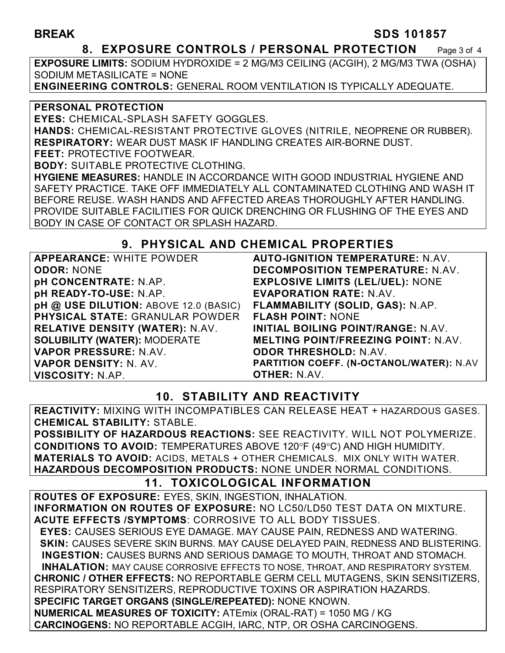#### **BREAK SDS 101857**

#### **8. EXPOSURE CONTROLS / PERSONAL PROTECTION** Page 3 of 4

**EXPOSURE LIMITS:** SODIUM HYDROXIDE = 2 MG/M3 CEILING (ACGIH), 2 MG/M3 TWA (OSHA) SODIUM METASILICATE = NONE

**ENGINEERING CONTROLS:** GENERAL ROOM VENTILATION IS TYPICALLY ADEQUATE.

#### **PERSONAL PROTECTION**

**EYES:** CHEMICAL-SPLASH SAFETY GOGGLES.

**HANDS:** CHEMICAL-RESISTANT PROTECTIVE GLOVES (NITRILE, NEOPRENE OR RUBBER). **RESPIRATORY:** WEAR DUST MASK IF HANDLING CREATES AIR-BORNE DUST.

**FEET:** PROTECTIVE FOOTWEAR.

**BODY:** SUITABLE PROTECTIVE CLOTHING.

**HYGIENE MEASURES:** HANDLE IN ACCORDANCE WITH GOOD INDUSTRIAL HYGIENE AND SAFETY PRACTICE. TAKE OFF IMMEDIATELY ALL CONTAMINATED CLOTHING AND WASH IT BEFORE REUSE. WASH HANDS AND AFFECTED AREAS THOROUGHLY AFTER HANDLING. PROVIDE SUITABLE FACILITIES FOR QUICK DRENCHING OR FLUSHING OF THE EYES AND BODY IN CASE OF CONTACT OR SPLASH HAZARD.

## **9. PHYSICAL AND CHEMICAL PROPERTIES**

| <b>APPEARANCE: WHITE POWDER</b>        | <b>AUT</b>   |
|----------------------------------------|--------------|
| <b>ODOR: NONE</b>                      | <b>DEC</b>   |
| <b>pH CONCENTRATE: N.AP.</b>           | <b>EXPI</b>  |
| pH READY-TO-USE: N.AP.                 | <b>EVAR</b>  |
| pH @ USE DILUTION: ABOVE 12.0 (BASIC)  | <b>FLAN</b>  |
| <b>PHYSICAL STATE: GRANULAR POWDER</b> | <b>FLAS</b>  |
| <b>RELATIVE DENSITY (WATER): N.AV.</b> | <b>INITI</b> |
| <b>SOLUBILITY (WATER): MODERATE</b>    | <b>MEL</b>   |
| VAPOR PRESSURE: N.AV.                  | <b>ODO</b>   |
| VAPOR DENSITY: N. AV.                  | <b>PART</b>  |
| VISCOSITY: N.AP.                       | OTHI         |

**D-IGNITION TEMPERATURE: N.AV. DMPOSITION TEMPERATURE: N.AV. LOSIVE LIMITS (LEL/UEL): NONE EVAPORATION RATE:** N.AV. **FLAMMABILITY (SOLID, GAS):** N.AP. **SH POINT: NONE INITIAL BOILING POINT/RANGE:** N.AV. **MELTING POINT/FREEZING POINT:** N.AV. **ODOR THRESHOLD:** N.AV. **PARTITION COEFF. (N-OCTANOL/WATER):** N.AV **OTHER:** N.AV.

## **10. STABILITY AND REACTIVITY**

**REACTIVITY:** MIXING WITH INCOMPATIBLES CAN RELEASE HEAT + HAZARDOUS GASES. **CHEMICAL STABILITY:** STABLE.

**POSSIBILITY OF HAZARDOUS REACTIONS:** SEE REACTIVITY. WILL NOT POLYMERIZE. **CONDITIONS TO AVOID: TEMPERATURES ABOVE 120°F (49°C) AND HIGH HUMIDITY. MATERIALS TO AVOID:** ACIDS, METALS + OTHER CHEMICALS. MIX ONLY WITH WATER. **HAZARDOUS DECOMPOSITION PRODUCTS:** NONE UNDER NORMAL CONDITIONS.

## **11. TOXICOLOGICAL INFORMATION**

**ROUTES OF EXPOSURE:** EYES, SKIN, INGESTION, INHALATION. **INFORMATION ON ROUTES OF EXPOSURE:** NO LC50/LD50 TEST DATA ON MIXTURE. **ACUTE EFFECTS /SYMPTOMS**: CORROSIVE TO ALL BODY TISSUES.  **EYES:** CAUSES SERIOUS EYE DAMAGE. MAY CAUSE PAIN, REDNESS AND WATERING.  **SKIN:** CAUSES SEVERE SKIN BURNS. MAY CAUSE DELAYED PAIN, REDNESS AND BLISTERING. **INGESTION:** CAUSES BURNS AND SERIOUS DAMAGE TO MOUTH, THROAT AND STOMACH. **INHALATION:** MAY CAUSE CORROSIVE EFFECTS TO NOSE, THROAT, AND RESPIRATORY SYSTEM. **CHRONIC / OTHER EFFECTS:** NO REPORTABLE GERM CELL MUTAGENS, SKIN SENSITIZERS, RESPIRATORY SENSITIZERS, REPRODUCTIVE TOXINS OR ASPIRATION HAZARDS. **SPECIFIC TARGET ORGANS (SINGLE/REPEATED):** NONE KNOWN. **NUMERICAL MEASURES OF TOXICITY:** ATEmix (ORAL-RAT) = 1050 MG / KG **CARCINOGENS:** NO REPORTABLE ACGIH, IARC, NTP, OR OSHA CARCINOGENS.